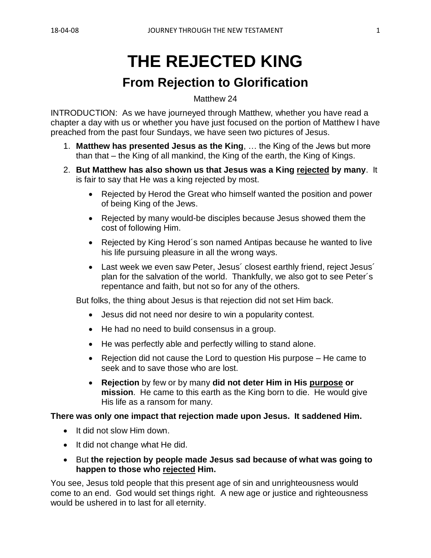# **THE REJECTED KING**

## **From Rejection to Glorification**

Matthew 24

INTRODUCTION: As we have journeyed through Matthew, whether you have read a chapter a day with us or whether you have just focused on the portion of Matthew I have preached from the past four Sundays, we have seen two pictures of Jesus.

- 1. **Matthew has presented Jesus as the King**, … the King of the Jews but more than that – the King of all mankind, the King of the earth, the King of Kings.
- 2. **But Matthew has also shown us that Jesus was a King rejected by many**. It is fair to say that He was a king rejected by most.
	- Rejected by Herod the Great who himself wanted the position and power of being King of the Jews.
	- Rejected by many would-be disciples because Jesus showed them the cost of following Him.
	- Rejected by King Herod´s son named Antipas because he wanted to live his life pursuing pleasure in all the wrong ways.
	- Last week we even saw Peter, Jesus' closest earthly friend, reject Jesus' plan for the salvation of the world. Thankfully, we also got to see Peter´s repentance and faith, but not so for any of the others.

But folks, the thing about Jesus is that rejection did not set Him back.

- Jesus did not need nor desire to win a popularity contest.
- He had no need to build consensus in a group.
- He was perfectly able and perfectly willing to stand alone.
- Rejection did not cause the Lord to question His purpose He came to seek and to save those who are lost.
- **Rejection** by few or by many **did not deter Him in His purpose or mission**. He came to this earth as the King born to die. He would give His life as a ransom for many.

**There was only one impact that rejection made upon Jesus. It saddened Him.**

- It did not slow Him down.
- It did not change what He did.
- But **the rejection by people made Jesus sad because of what was going to happen to those who rejected Him.**

You see, Jesus told people that this present age of sin and unrighteousness would come to an end. God would set things right. A new age or justice and righteousness would be ushered in to last for all eternity.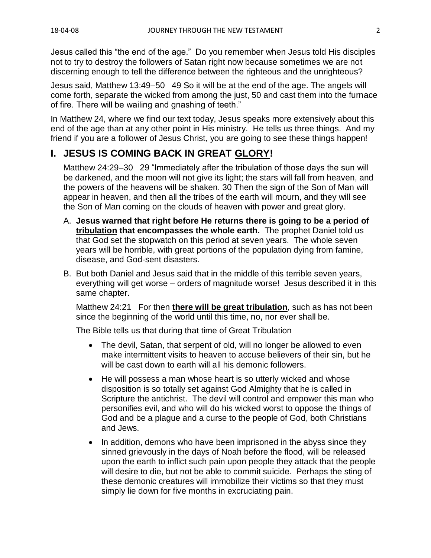Jesus called this "the end of the age." Do you remember when Jesus told His disciples not to try to destroy the followers of Satan right now because sometimes we are not discerning enough to tell the difference between the righteous and the unrighteous?

Jesus said, Matthew 13:49–50 49 So it will be at the end of the age. The angels will come forth, separate the wicked from among the just, 50 and cast them into the furnace of fire. There will be wailing and gnashing of teeth."

In Matthew 24, where we find our text today, Jesus speaks more extensively about this end of the age than at any other point in His ministry. He tells us three things. And my friend if you are a follower of Jesus Christ, you are going to see these things happen!

## **I. JESUS IS COMING BACK IN GREAT GLORY!**

Matthew 24:29–30 29 "Immediately after the tribulation of those days the sun will be darkened, and the moon will not give its light; the stars will fall from heaven, and the powers of the heavens will be shaken. 30 Then the sign of the Son of Man will appear in heaven, and then all the tribes of the earth will mourn, and they will see the Son of Man coming on the clouds of heaven with power and great glory.

- A. **Jesus warned that right before He returns there is going to be a period of tribulation that encompasses the whole earth.** The prophet Daniel told us that God set the stopwatch on this period at seven years. The whole seven years will be horrible, with great portions of the population dying from famine, disease, and God-sent disasters.
- B. But both Daniel and Jesus said that in the middle of this terrible seven years, everything will get worse – orders of magnitude worse! Jesus described it in this same chapter.

Matthew 24:21 For then **there will be great tribulation**, such as has not been since the beginning of the world until this time, no, nor ever shall be.

The Bible tells us that during that time of Great Tribulation

- The devil, Satan, that serpent of old, will no longer be allowed to even make intermittent visits to heaven to accuse believers of their sin, but he will be cast down to earth will all his demonic followers.
- He will possess a man whose heart is so utterly wicked and whose disposition is so totally set against God Almighty that he is called in Scripture the antichrist. The devil will control and empower this man who personifies evil, and who will do his wicked worst to oppose the things of God and be a plague and a curse to the people of God, both Christians and Jews.
- In addition, demons who have been imprisoned in the abyss since they sinned grievously in the days of Noah before the flood, will be released upon the earth to inflict such pain upon people they attack that the people will desire to die, but not be able to commit suicide. Perhaps the sting of these demonic creatures will immobilize their victims so that they must simply lie down for five months in excruciating pain.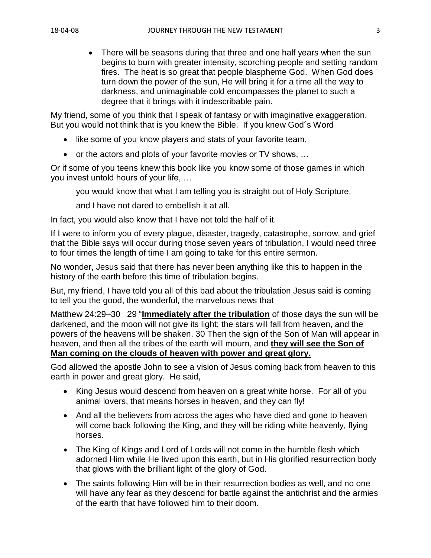• There will be seasons during that three and one half years when the sun begins to burn with greater intensity, scorching people and setting random fires. The heat is so great that people blaspheme God. When God does turn down the power of the sun, He will bring it for a time all the way to darkness, and unimaginable cold encompasses the planet to such a degree that it brings with it indescribable pain.

My friend, some of you think that I speak of fantasy or with imaginative exaggeration. But you would not think that is you knew the Bible. If you knew God´s Word

- like some of you know players and stats of your favorite team,
- or the actors and plots of your favorite movies or TV shows, …

Or if some of you teens knew this book like you know some of those games in which you invest untold hours of your life, …

you would know that what I am telling you is straight out of Holy Scripture,

and I have not dared to embellish it at all.

In fact, you would also know that I have not told the half of it.

If I were to inform you of every plague, disaster, tragedy, catastrophe, sorrow, and grief that the Bible says will occur during those seven years of tribulation, I would need three to four times the length of time I am going to take for this entire sermon.

No wonder, Jesus said that there has never been anything like this to happen in the history of the earth before this time of tribulation begins.

But, my friend, I have told you all of this bad about the tribulation Jesus said is coming to tell you the good, the wonderful, the marvelous news that

Matthew 24:29–30 29 "**Immediately after the tribulation** of those days the sun will be darkened, and the moon will not give its light; the stars will fall from heaven, and the powers of the heavens will be shaken. 30 Then the sign of the Son of Man will appear in heaven, and then all the tribes of the earth will mourn, and **they will see the Son of Man coming on the clouds of heaven with power and great glory.** 

God allowed the apostle John to see a vision of Jesus coming back from heaven to this earth in power and great glory. He said,

- King Jesus would descend from heaven on a great white horse. For all of you animal lovers, that means horses in heaven, and they can fly!
- And all the believers from across the ages who have died and gone to heaven will come back following the King, and they will be riding white heavenly, flying horses.
- The King of Kings and Lord of Lords will not come in the humble flesh which adorned Him while He lived upon this earth, but in His glorified resurrection body that glows with the brilliant light of the glory of God.
- The saints following Him will be in their resurrection bodies as well, and no one will have any fear as they descend for battle against the antichrist and the armies of the earth that have followed him to their doom.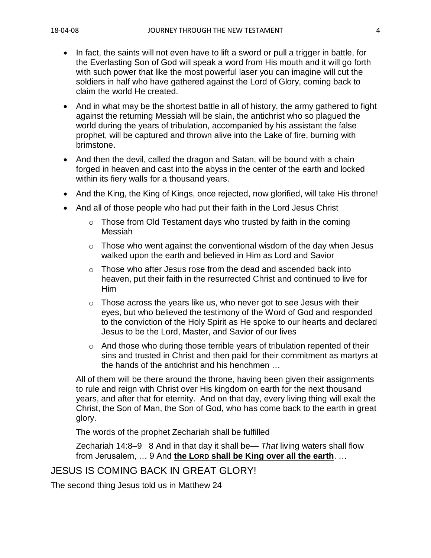- In fact, the saints will not even have to lift a sword or pull a trigger in battle, for the Everlasting Son of God will speak a word from His mouth and it will go forth with such power that like the most powerful laser you can imagine will cut the soldiers in half who have gathered against the Lord of Glory, coming back to claim the world He created.
- And in what may be the shortest battle in all of history, the army gathered to fight against the returning Messiah will be slain, the antichrist who so plagued the world during the years of tribulation, accompanied by his assistant the false prophet, will be captured and thrown alive into the Lake of fire, burning with brimstone.
- And then the devil, called the dragon and Satan, will be bound with a chain forged in heaven and cast into the abyss in the center of the earth and locked within its fiery walls for a thousand years.
- And the King, the King of Kings, once rejected, now glorified, will take His throne!
- And all of those people who had put their faith in the Lord Jesus Christ
	- $\circ$  Those from Old Testament days who trusted by faith in the coming Messiah
	- $\circ$  Those who went against the conventional wisdom of the day when Jesus walked upon the earth and believed in Him as Lord and Savior
	- o Those who after Jesus rose from the dead and ascended back into heaven, put their faith in the resurrected Christ and continued to live for Him
	- $\circ$  Those across the years like us, who never got to see Jesus with their eyes, but who believed the testimony of the Word of God and responded to the conviction of the Holy Spirit as He spoke to our hearts and declared Jesus to be the Lord, Master, and Savior of our lives
	- o And those who during those terrible years of tribulation repented of their sins and trusted in Christ and then paid for their commitment as martyrs at the hands of the antichrist and his henchmen …

All of them will be there around the throne, having been given their assignments to rule and reign with Christ over His kingdom on earth for the next thousand years, and after that for eternity. And on that day, every living thing will exalt the Christ, the Son of Man, the Son of God, who has come back to the earth in great glory.

The words of the prophet Zechariah shall be fulfilled

Zechariah 14:8–9 8 And in that day it shall be— *That* living waters shall flow from Jerusalem, … 9 And **the LORD shall be King over all the earth**. …

#### JESUS IS COMING BACK IN GREAT GLORY!

The second thing Jesus told us in Matthew 24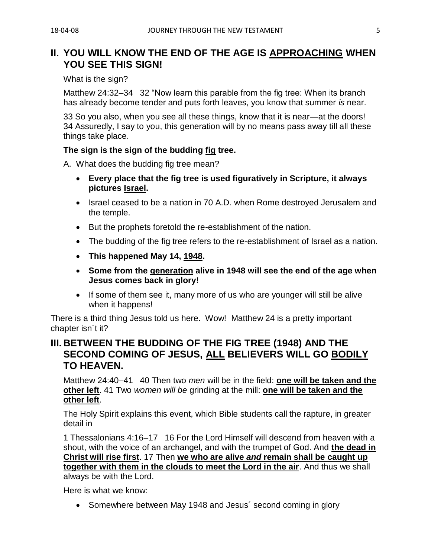## **II. YOU WILL KNOW THE END OF THE AGE IS APPROACHING WHEN YOU SEE THIS SIGN!**

#### What is the sign?

Matthew 24:32–34 32 "Now learn this parable from the fig tree: When its branch has already become tender and puts forth leaves, you know that summer *is* near.

33 So you also, when you see all these things, know that it is near—at the doors! 34 Assuredly, I say to you, this generation will by no means pass away till all these things take place.

#### **The sign is the sign of the budding fig tree.**

A. What does the budding fig tree mean?

- **Every place that the fig tree is used figuratively in Scripture, it always pictures Israel.**
- Israel ceased to be a nation in 70 A.D. when Rome destroyed Jerusalem and the temple.
- But the prophets foretold the re-establishment of the nation.
- The budding of the fig tree refers to the re-establishment of Israel as a nation.
- **This happened May 14, 1948.**
- **Some from the generation alive in 1948 will see the end of the age when Jesus comes back in glory!**
- If some of them see it, many more of us who are younger will still be alive when it happens!

There is a third thing Jesus told us here. Wow! Matthew 24 is a pretty important chapter isn´t it?

## **III. BETWEEN THE BUDDING OF THE FIG TREE (1948) AND THE SECOND COMING OF JESUS, ALL BELIEVERS WILL GO BODILY TO HEAVEN.**

Matthew 24:40–41 40 Then two *men* will be in the field: **one will be taken and the other left**. 41 Two *women will be* grinding at the mill: **one will be taken and the other left**.

The Holy Spirit explains this event, which Bible students call the rapture, in greater detail in

1 Thessalonians 4:16–17 16 For the Lord Himself will descend from heaven with a shout, with the voice of an archangel, and with the trumpet of God. And **the dead in Christ will rise first**. 17 Then **we who are alive** *and* **remain shall be caught up together with them in the clouds to meet the Lord in the air**. And thus we shall always be with the Lord.

Here is what we know:

• Somewhere between May 1948 and Jesus' second coming in glory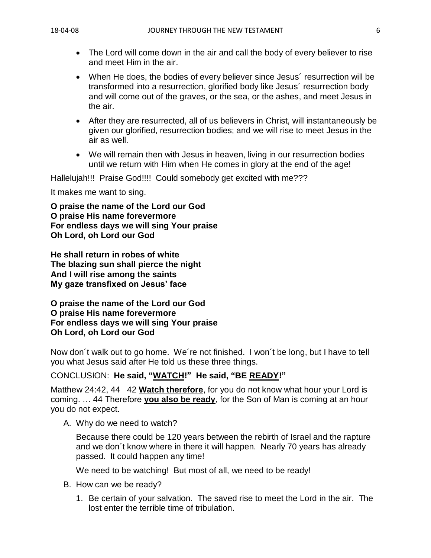- The Lord will come down in the air and call the body of every believer to rise and meet Him in the air.
- When He does, the bodies of every believer since Jesus´ resurrection will be transformed into a resurrection, glorified body like Jesus´ resurrection body and will come out of the graves, or the sea, or the ashes, and meet Jesus in the air.
- After they are resurrected, all of us believers in Christ, will instantaneously be given our glorified, resurrection bodies; and we will rise to meet Jesus in the air as well.
- We will remain then with Jesus in heaven, living in our resurrection bodies until we return with Him when He comes in glory at the end of the age!

Hallelujah!!! Praise God!!!! Could somebody get excited with me???

It makes me want to sing.

**O praise the name of the Lord our God O praise His name forevermore For endless days we will sing Your praise Oh Lord, oh Lord our God**

**He shall return in robes of white The blazing sun shall pierce the night And I will rise among the saints My gaze transfixed on Jesus' face**

**O praise the name of the Lord our God O praise His name forevermore For endless days we will sing Your praise Oh Lord, oh Lord our God**

Now don´t walk out to go home. We´re not finished. I won´t be long, but I have to tell you what Jesus said after He told us these three things.

#### CONCLUSION: **He said, "WATCH!" He said, "BE READY!"**

Matthew 24:42, 44 42 **Watch therefore**, for you do not know what hour your Lord is coming. … 44 Therefore **you also be ready**, for the Son of Man is coming at an hour you do not expect.

A. Why do we need to watch?

Because there could be 120 years between the rebirth of Israel and the rapture and we don´t know where in there it will happen. Nearly 70 years has already passed. It could happen any time!

We need to be watching! But most of all, we need to be ready!

- B. How can we be ready?
	- 1. Be certain of your salvation. The saved rise to meet the Lord in the air. The lost enter the terrible time of tribulation.